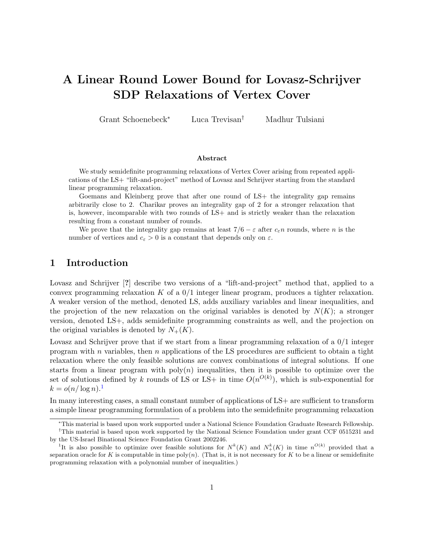# A Linear Round Lower Bound for Lovasz-Schrijver SDP Relaxations of Vertex Cover

Grant Schoenebeck<sup>∗</sup> Luca Trevisan† Madhur Tulsiani

#### Abstract

We study semidefinite programming relaxations of Vertex Cover arising from repeated applications of the LS+ "lift-and-project" method of Lovasz and Schrijver starting from the standard linear programming relaxation.

Goemans and Kleinberg prove that after one round of LS+ the integrality gap remains arbitrarily close to 2. Charikar proves an integrality gap of 2 for a stronger relaxation that is, however, incomparable with two rounds of LS+ and is strictly weaker than the relaxation resulting from a constant number of rounds.

We prove that the integrality gap remains at least  $7/6 - \varepsilon$  after  $c_{\varepsilon} n$  rounds, where n is the number of vertices and  $c_{\varepsilon} > 0$  is a constant that depends only on  $\varepsilon$ .

## 1 Introduction

Lovasz and Schrijver [?] describe two versions of a "lift-and-project" method that, applied to a convex programming relaxation K of a  $0/1$  integer linear program, produces a tighter relaxation. A weaker version of the method, denoted LS, adds auxiliary variables and linear inequalities, and the projection of the new relaxation on the original variables is denoted by  $N(K)$ ; a stronger version, denoted LS+, adds semidefinite programming constraints as well, and the projection on the original variables is denoted by  $N_{+}(K)$ .

Lovasz and Schrijver prove that if we start from a linear programming relaxation of a 0/1 integer program with n variables, then n applications of the LS procedures are sufficient to obtain a tight relaxation where the only feasible solutions are convex combinations of integral solutions. If one starts from a linear program with  $poly(n)$  inequalities, then it is possible to optimize over the set of solutions defined by k rounds of LS or LS+ in time  $O(n^{O(k)})$ , which is sub-exponential for  $k = o(n/\log n).$ <sup>1</sup>

In many interesting cases, a small constant number of applications of LS+ are sufficient to transform a simple linear programming formulation of a problem into the semidefinite programming relaxation

<sup>∗</sup>This material is based upon work supported under a National Science Foundation Graduate Research Fellowship.

<sup>†</sup>This material is based upon work supported by the National Science Foundation under grant CCF 0515231 and by the US-Israel Binational Science Foundation Grant 2002246.

<sup>&</sup>lt;sup>1</sup>It is also possible to optimize over feasible solutions for  $N^k(K)$  and  $N^k_+(K)$  in time  $n^{O(k)}$  provided that a separation oracle for K is computable in time  $\text{poly}(n)$ . (That is, it is not necessary for K to be a linear or semidefinite programming relaxation with a polynomial number of inequalities.)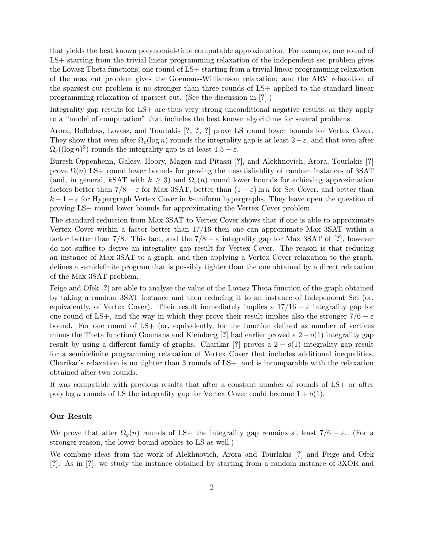that yields the best known polynomial-time computable approximation. For example, one round of LS+ starting from the trivial linear programming relaxation of the independent set problem gives the Lovasz Theta functions; one round of LS+ starting from a trivial linear programming relaxation of the max cut problem gives the Goemans-Williamson relaxation; and the ARV relaxation of the sparsest cut problem is no stronger than three rounds of LS+ applied to the standard linear programming relaxation of sparsest cut. (See the discussion in [?].)

Integrality gap results for LS+ are thus very strong unconditional negative results, as they apply to a "model of computation" that includes the best known algorithms for several problems.

Arora, Bollobas, Lovasz, and Tourlakis [?, ?, ?] prove LS round lower bounds for Vertex Cover. They show that even after  $\Omega_{\varepsilon}(\log n)$  rounds the integrality gap is at least  $2-\varepsilon$ , and that even after  $\Omega_{\varepsilon}((\log n)^2)$  rounds the integrality gap is at least  $1.5 - \varepsilon$ .

Buresh-Oppenheim, Galesy, Hoory, Magen and Pitassi [?], and Alekhnovich, Arora, Tourlakis [?] prove  $\Omega(n)$  LS+ round lower bounds for proving the unsatisfiablity of random instances of 3SAT (and, in general, kSAT with  $k \geq 3$ ) and  $\Omega_{\epsilon}(n)$  round lower bounds for achieving approximation factors better than  $7/8 - \varepsilon$  for Max 3SAT, better than  $(1 - \varepsilon) \ln n$  for Set Cover, and better than  $k-1-\varepsilon$  for Hypergraph Vertex Cover in k-uniform hypergraphs. They leave open the question of proving LS+ round lower bounds for approximating the Vertex Cover problem.

The standard reduction from Max 3SAT to Vertex Cover shows that if one is able to approximate Vertex Cover within a factor better than 17/16 then one can approximate Max 3SAT within a factor better than 7/8. This fact, and the  $7/8 - \varepsilon$  integrality gap for Max 3SAT of [?], however do not suffice to derive an integrality gap result for Vertex Cover. The reason is that reducing an instance of Max 3SAT to a graph, and then applying a Vertex Cover relaxation to the graph, defines a semidefinite program that is possibly tighter than the one obtained by a direct relaxation of the Max 3SAT problem.

Feige and Ofek [?] are able to analyse the value of the Lovasz Theta function of the graph obtained by taking a random 3SAT instance and then reducing it to an instance of Independent Set (or, equivalently, of Vertex Cover). Their result immediately implies a  $17/16 - \varepsilon$  integrality gap for one round of LS+, and the way in which they prove their result implies also the stronger  $7/6 - \varepsilon$ bound. For one round of LS+ (or, equivalently, for the function defined as number of vertices minus the Theta function) Goemans and Kleinberg [?] had earlier proved a  $2-o(1)$  integrality gap result by using a different family of graphs. Charikar [?] proves a  $2 - o(1)$  integrality gap result for a semidefinite programming relaxation of Vertex Cover that includes additional inequalities. Charikar's relaxation is no tighter than 3 rounds of LS+, and is incomparable with the relaxation obtained after two rounds.

It was compatible with previous results that after a constant number of rounds of LS+ or after poly log n rounds of LS the integrality gap for Vertex Cover could become  $1 + o(1)$ .

#### Our Result

We prove that after  $\Omega_{\varepsilon}(n)$  rounds of LS+ the integrality gap remains at least  $7/6 - \varepsilon$ . (For a stronger reason, the lower bound applies to LS as well.)

We combine ideas from the work of Alekhnovich, Arora and Tourlakis [?] and Feige and Ofek [?]. As in [?], we study the instance obtained by starting from a random instance of 3XOR and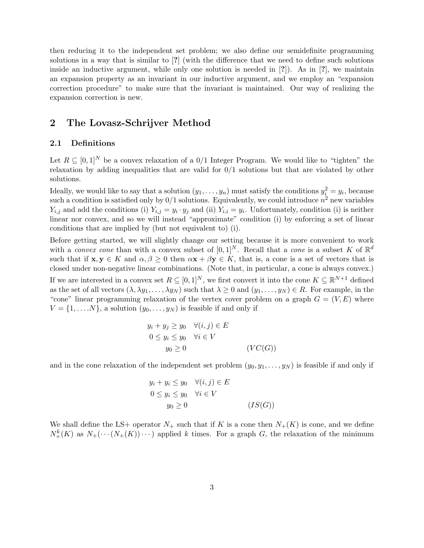then reducing it to the independent set problem; we also define our semidefinite programming solutions in a way that is similar to [?] (with the difference that we need to define such solutions inside an inductive argument, while only one solution is needed in  $[?]$ ). As in  $[?]$ , we maintain an expansion property as an invariant in our inductive argument, and we employ an "expansion correction procedure" to make sure that the invariant is maintained. Our way of realizing the expansion correction is new.

## 2 The Lovasz-Schrijver Method

## 2.1 Definitions

Let  $R \subseteq [0,1]^N$  be a convex relaxation of a  $0/1$  Integer Program. We would like to "tighten" the relaxation by adding inequalities that are valid for 0/1 solutions but that are violated by other solutions.

Ideally, we would like to say that a solution  $(y_1, \ldots, y_n)$  must satisfy the conditions  $y_i^2 = y_i$ , because such a condition is satisfied only by  $0/1$  solutions. Equivalently, we could introduce  $n^2$  new variables  $Y_{i,j}$  and add the conditions (i)  $Y_{i,j} = y_i \cdot y_j$  and (ii)  $Y_{i,i} = y_i$ . Unfortunately, condition (i) is neither linear nor convex, and so we will instead "approximate" condition (i) by enforcing a set of linear conditions that are implied by (but not equivalent to) (i).

Before getting started, we will slightly change our setting because it is more convenient to work with a *convex cone* than with a convex subset of  $[0,1]^N$ . Recall that a *cone* is a subset K of  $\mathbb{R}^d$ such that if  $\mathbf{x}, \mathbf{y} \in K$  and  $\alpha, \beta \geq 0$  then  $\alpha \mathbf{x} + \beta \mathbf{y} \in K$ , that is, a cone is a set of vectors that is closed under non-negative linear combinations. (Note that, in particular, a cone is always convex.) If we are interested in a convex set  $R \subseteq [0,1]^N$ , we first convert it into the cone  $K \subseteq \mathbb{R}^{N+1}$  defined as the set of all vectors  $(\lambda, \lambda y_1, \dots, \lambda y_N)$  such that  $\lambda \geq 0$  and  $(y_1, \dots, y_N) \in R$ . For example, in the "cone" linear programming relaxation of the vertex cover problem on a graph  $G = (V, E)$  where  $V = \{1, \ldots N\}$ , a solution  $(y_0, \ldots, y_N)$  is feasible if and only if

$$
y_i + y_j \ge y_0 \quad \forall (i, j) \in E
$$
  
\n
$$
0 \le y_i \le y_0 \quad \forall i \in V
$$
  
\n
$$
y_0 \ge 0 \qquad (VC(G))
$$

and in the cone relaxation of the independent set problem  $(y_0, y_1, \ldots, y_N)$  is feasible if and only if

$$
y_i + y_i \le y_0 \quad \forall (i, j) \in E
$$
  
\n
$$
0 \le y_i \le y_0 \quad \forall i \in V
$$
  
\n
$$
y_0 \ge 0 \qquad (IS(G))
$$

We shall define the LS+ operator  $N_+$  such that if K is a cone then  $N_+(K)$  is cone, and we define  $N_{+}^{k}(K)$  as  $N_{+}(\cdots(N_{+}(K))\cdots)$  applied k times. For a graph G, the relaxation of the minimum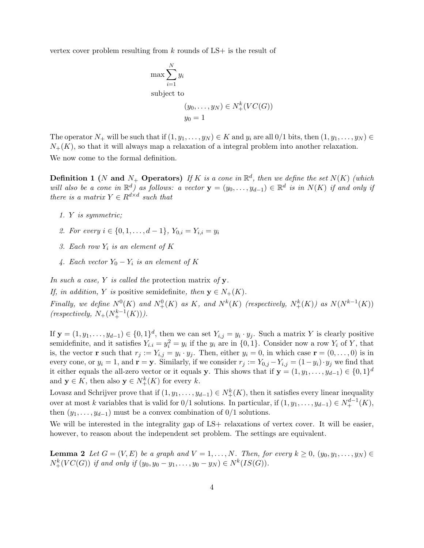vertex cover problem resulting from  $k$  rounds of  $LS+$  is the result of

$$
\max \sum_{i=1}^{N} y_i
$$
  
subject to  

$$
(y_0, \dots, y_N) \in N^k_+(VC(G))
$$

$$
y_0 = 1
$$

The operator  $N_+$  will be such that if  $(1, y_1, \ldots, y_N) \in K$  and  $y_i$  are all  $0/1$  bits, then  $(1, y_1, \ldots, y_N) \in K$  $N_{+}(K)$ , so that it will always map a relaxation of a integral problem into another relaxation. We now come to the formal definition.

**Definition 1** (N and N<sub>+</sub> Operators) If K is a cone in  $\mathbb{R}^d$ , then we define the set  $N(K)$  (which will also be a cone in  $\mathbb{R}^d$ ) as follows: a vector  $\mathbf{y} = (y_0, \ldots, y_{d-1}) \in \mathbb{R}^d$  is in  $N(K)$  if and only if there is a matrix  $Y \in R^{d \times d}$  such that

- 1. Y is symmetric;
- 2. For every  $i \in \{0, 1, \ldots, d-1\}$ ,  $Y_{0,i} = Y_{i,i} = y_i$
- 3. Each row  $Y_i$  is an element of  $K$
- 4. Each vector  $Y_0 Y_i$  is an element of K

In such a case, Y is called the protection matrix of  $y$ .

If, in addition, Y is positive semidefinite, then  $y \in N_+(K)$ .

Finally, we define  $N^0(K)$  and  $N^0_+(K)$  as K, and  $N^k(K)$  (respectively,  $N^k_+(K)$ ) as  $N(N^{k-1}(K))$  $(respectively, N_+(N_+^{k-1}(K))).$ 

If  $y = (1, y_1, \ldots, y_{d-1}) \in \{0, 1\}^d$ , then we can set  $Y_{i,j} = y_i \cdot y_j$ . Such a matrix Y is clearly positive semidefinite, and it satisfies  $Y_{i,i} = y_i^2 = y_i$  if the  $y_i$  are in  $\{0,1\}$ . Consider now a row  $Y_i$  of Y, that is, the vector **r** such that  $r_j := Y_{i,j} = y_i \cdot y_j$ . Then, either  $y_i = 0$ , in which case  $\mathbf{r} = (0, \ldots, 0)$  is in every cone, or  $y_i = 1$ , and  $\mathbf{r} = \mathbf{y}$ . Similarly, if we consider  $r_j := Y_{0,j} - Y_{i,j} = (1-y_i) \cdot y_j$  we find that it either equals the all-zero vector or it equals y. This shows that if  $y = (1, y_1, \ldots, y_{d-1}) \in \{0, 1\}^d$ and  $y \in K$ , then also  $y \in N_{+}^{k}(K)$  for every k.

Lovasz and Schrijver prove that if  $(1, y_1, \ldots, y_{d-1}) \in N^k_+(K)$ , then it satisfies every linear inequality over at most k variables that is valid for 0/1 solutions. In particular, if  $(1, y_1, \ldots, y_{d-1}) \in N_+^{d-1}(K)$ , then  $(y_1, \ldots, y_{d-1})$  must be a convex combination of  $0/1$  solutions.

We will be interested in the integrality gap of LS+ relaxations of vertex cover. It will be easier, however, to reason about the independent set problem. The settings are equivalent.

**Lemma 2** Let  $G = (V, E)$  be a graph and  $V = 1, \ldots, N$ . Then, for every  $k \geq 0$ ,  $(y_0, y_1, \ldots, y_N) \in$  $N_{+}^{k}(VC(G))$  if and only if  $(y_0, y_0 - y_1, \ldots, y_0 - y_N) \in N^{k}(IS(G)).$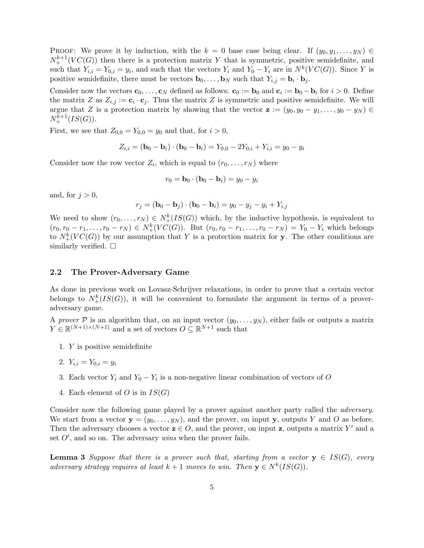PROOF: We prove it by induction, with the  $k = 0$  base case being clear. If  $(y_0, y_1, \ldots, y_N) \in$  $N_{+}^{k+1}(VC(G))$  then there is a protection matrix Y that is symmetric, positive semidefinite, and such that  $Y_{i,i} = Y_{0,i} = y_i$ , and such that the vectors  $Y_i$  and  $Y_0 - Y_i$  are in  $N^k(VC(G))$ . Since Y is positive semidefinite, there must be vectors  $\mathbf{b}_0, \ldots, \mathbf{b}_N$  such that  $Y_{i,j} = \mathbf{b}_i \cdot \mathbf{b}_j$ .

Consider now the vectors  $\mathbf{c}_0, \ldots, \mathbf{c}_N$  defined as follows:  $\mathbf{c}_0 := \mathbf{b}_0$  and  $\mathbf{c}_i := \mathbf{b}_0 - \mathbf{b}_i$  for  $i > 0$ . Define the matrix Z as  $Z_{i,j} := \mathbf{c}_i \cdot \mathbf{c}_j$ . Thus the matrix Z is symmetric and positive semidefinite. We will argue that Z is a protection matrix by showing that the vector  $\mathbf{z} := (y_0, y_0 - y_1, \ldots, y_0 - y_N) \in$  $N_{+}^{k+1}(IS(G)).$ 

First, we see that  $Z_{0,0} = Y_{0,0} = y_0$  and that, for  $i > 0$ ,

$$
Z_{i,i} = (\mathbf{b}_0 - \mathbf{b}_i) \cdot (\mathbf{b}_0 - \mathbf{b}_i) = Y_{0,0} - 2Y_{0,i} + Y_{i,i} = y_0 - y_i
$$

Consider now the row vector  $Z_i$ , which is equal to  $(r_0, \ldots, r_N)$  where

$$
r_0 = \mathbf{b}_0 \cdot (\mathbf{b}_0 - \mathbf{b}_i) = y_0 - y_i
$$

and, for  $j > 0$ ,

$$
r_j = (\mathbf{b}_0 - \mathbf{b}_j) \cdot (\mathbf{b}_0 - \mathbf{b}_i) = y_0 - y_j - y_i + Y_{i,j}
$$

We need to show  $(r_0, \ldots, r_N) \in N^k_+(IS(G))$  which, by the inductive hypothesis, is equivalent to  $(r_0, r_0 - r_1, \ldots, r_0 - r_N) \in N^k_+(VC(G))$ . But  $(r_0, r_0 - r_1, \ldots, r_0 - r_N) = Y_0 - Y_i$  which belongs to  $N_{+}^{k}(VC(G))$  by our assumption that Y is a protection matrix for y. The other conditions are similarly verified.  $\square$ 

#### 2.2 The Prover-Adversary Game

As done in previous work on Lovasz-Schrijver relaxations, in order to prove that a certain vector belongs to  $N_{+}^{k}(IS(G))$ , it will be convenient to formulate the argument in terms of a proveradversary game.

A prover P is an algorithm that, on an input vector  $(y_0, \ldots, y_N)$ , either fails or outputs a matrix  $Y \in \mathbb{R}^{(N+1)\times(N+1)}$  and a set of vectors  $O \subseteq \mathbb{R}^{N+1}$  such that

- 1. Y is positive semidefinite
- 2.  $Y_{i,i} = Y_{0,i} = y_i$
- 3. Each vector  $Y_i$  and  $Y_0 Y_i$  is a non-negative linear combination of vectors of O
- 4. Each element of O is in  $IS(G)$

Consider now the following game played by a prover against another party called the *adversary*. We start from a vector  $y = (y_0, \ldots, y_N)$ , and the prover, on input y, outputs Y and O as before. Then the adversary chooses a vector  $z \in O$ , and the prover, on input z, outputs a matrix Y' and a set  $O'$ , and so on. The adversary wins when the prover fails.

**Lemma 3** Suppose that there is a prover such that, starting from a vector  $y \in IS(G)$ , every adversary strategy requires at least  $k+1$  moves to win. Then  $y \in N^k(IS(G))$ .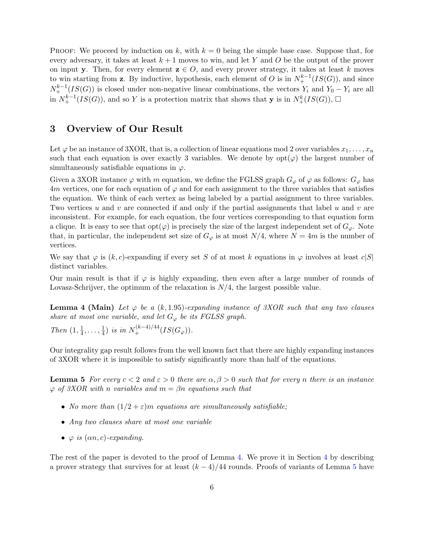**PROOF:** We proceed by induction on k, with  $k = 0$  being the simple base case. Suppose that, for every adversary, it takes at least  $k+1$  moves to win, and let Y and O be the output of the prover on input y. Then, for every element  $z \in O$ , and every prover strategy, it takes at least k moves to win starting from **z**. By inductive, hypothesis, each element of O is in  $N_{+}^{k-1}(IS(G))$ , and since  $N_{+}^{k-1}(IS(G))$  is closed under non-negative linear combinations, the vectors  $Y_i$  and  $Y_0 - Y_i$  are all in  $N_{+}^{k-1}(IS(G))$ , and so Y is a protection matrix that shows that y is in  $N_{+}^{k}(IS(G))$ , □

## 3 Overview of Our Result

Let  $\varphi$  be an instance of 3XOR, that is, a collection of linear equations mod 2 over variables  $x_1, \ldots, x_n$ such that each equation is over exactly 3 variables. We denote by  $opt(\varphi)$  the largest number of simultaneously satisfiable equations in  $\varphi$ .

Given a 3XOR instance  $\varphi$  with m equation, we define the FGLSS graph  $G_{\varphi}$  of  $\varphi$  as follows:  $G_{\varphi}$  has  $4m$  vertices, one for each equation of  $\varphi$  and for each assignment to the three variables that satisfies the equation. We think of each vertex as being labeled by a partial assignment to three variables. Two vertices u and v are connected if and only if the partial assignments that label u and v are inconsistent. For example, for each equation, the four vertices corresponding to that equation form a clique. It is easy to see that  $opt(\varphi)$  is precisely the size of the largest independent set of  $G_{\varphi}$ . Note that, in particular, the independent set size of  $G_{\varphi}$  is at most  $N/4$ , where  $N = 4m$  is the number of vertices.

We say that  $\varphi$  is  $(k, c)$ -expanding if every set S of at most k equations in  $\varphi$  involves at least c|S| distinct variables.

Our main result is that if  $\varphi$  is highly expanding, then even after a large number of rounds of Lovasz-Schrijver, the optimum of the relaxation is  $N/4$ , the largest possible value.

**Lemma 4 (Main)** Let  $\varphi$  be a (k, 1.95)-expanding instance of 3XOR such that any two clauses share at most one variable, and let  $G_{\varphi}$  be its FGLSS graph.

Then  $(1, \frac{1}{4})$  $\frac{1}{4}, \ldots, \frac{1}{4}$  $\frac{1}{4}$ ) is in  $N_+^{(k-4)/44}(IS(G_{\varphi}))$ .

Our integrality gap result follows from the well known fact that there are highly expanding instances of 3XOR where it is impossible to satisfy significantly more than half of the equations.

**Lemma 5** For every  $c < 2$  and  $\epsilon > 0$  there are  $\alpha, \beta > 0$  such that for every n there is an instance  $\varphi$  of 3XOR with n variables and  $m = \beta n$  equations such that

- No more than  $(1/2 + \varepsilon)m$  equations are simultaneously satisfiable;
- Any two clauses share at most one variable
- $\varphi$  is  $(\alpha n, c)$ -expanding.

The rest of the paper is devoted to the proof of Lemma 4. We prove it in Section 4 by describing a prover strategy that survives for at least  $(k-4)/44$  rounds. Proofs of variants of Lemma 5 have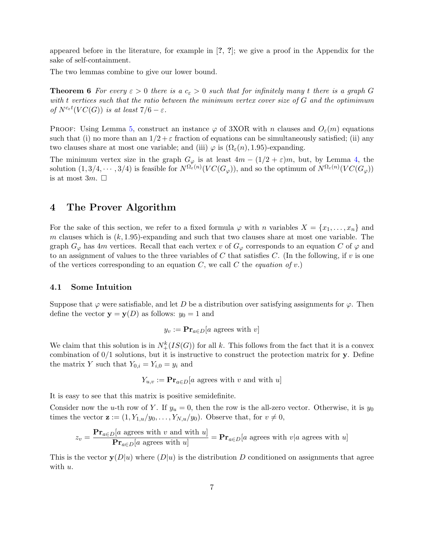appeared before in the literature, for example in [?, ?]; we give a proof in the Appendix for the sake of self-containment.

The two lemmas combine to give our lower bound.

**Theorem 6** For every  $\varepsilon > 0$  there is a  $c_{\varepsilon} > 0$  such that for infinitely many t there is a graph G with t vertices such that the ratio between the minimum vertex cover size of G and the optimimum of  $N^{c_{\varepsilon}t}(VC(G))$  is at least  $7/6-\varepsilon$ .

PROOF: Using Lemma 5, construct an instance  $\varphi$  of 3XOR with n clauses and  $O_{\varepsilon}(m)$  equations such that (i) no more than an  $1/2+\varepsilon$  fraction of equations can be simultaneously satisfied; (ii) any two clauses share at most one variable; and (iii)  $\varphi$  is  $(\Omega_{\varepsilon}(n), 1.95)$ -expanding.

The minimum vertex size in the graph  $G_{\varphi}$  is at least  $4m - (1/2 + \varepsilon)m$ , but, by Lemma 4, the solution  $(1,3/4,\dots,3/4)$  is feasible for  $N^{\Omega_{\varepsilon}(n)}(VC(G_{\varphi}))$ , and so the optimum of  $N^{\Omega_{\varepsilon}(n)}(VC(G_{\varphi}))$ is at most  $3m$ .  $\Box$ 

## 4 The Prover Algorithm

For the sake of this section, we refer to a fixed formula  $\varphi$  with n variables  $X = \{x_1, \ldots, x_n\}$  and m clauses which is  $(k, 1.95)$ -expanding and such that two clauses share at most one variable. The graph  $G_{\varphi}$  has 4m vertices. Recall that each vertex v of  $G_{\varphi}$  corresponds to an equation C of  $\varphi$  and to an assignment of values to the three variables of C that satisfies C. (In the following, if  $v$  is one of the vertices corresponding to an equation C, we call C the *equation of v*.)

#### 4.1 Some Intuition

Suppose that  $\varphi$  were satisfiable, and let D be a distribution over satisfying assignments for  $\varphi$ . Then define the vector  $y = y(D)$  as follows:  $y_0 = 1$  and

$$
y_v := \mathbf{Pr}_{a \in D}[a \text{ agrees with } v]
$$

We claim that this solution is in  $N_{+}^{k}(IS(G))$  for all k. This follows from the fact that it is a convex combination of  $0/1$  solutions, but it is instructive to construct the protection matrix for y. Define the matrix Y such that  $Y_{0,i} = Y_{i,0} = y_i$  and

$$
Y_{u,v} := \mathbf{Pr}_{a \in D}[a \text{ agrees with } v \text{ and with } u]
$$

It is easy to see that this matrix is positive semidefinite.

Consider now the u-th row of Y. If  $y_u = 0$ , then the row is the all-zero vector. Otherwise, it is  $y_0$ times the vector  $\mathbf{z} := (1, Y_{1,u}/y_0, \ldots, Y_{N,u}/y_0)$ . Observe that, for  $v \neq 0$ ,

$$
z_v = \frac{\mathbf{Pr}_{a \in D}[a \text{ agrees with } v \text{ and with } u]}{\mathbf{Pr}_{a \in D}[a \text{ agrees with } u]} = \mathbf{Pr}_{a \in D}[a \text{ agrees with } v | a \text{ agrees with } u]
$$

This is the vector  $y(D|u)$  where  $(D|u)$  is the distribution D conditioned on assignments that agree with  $u$ .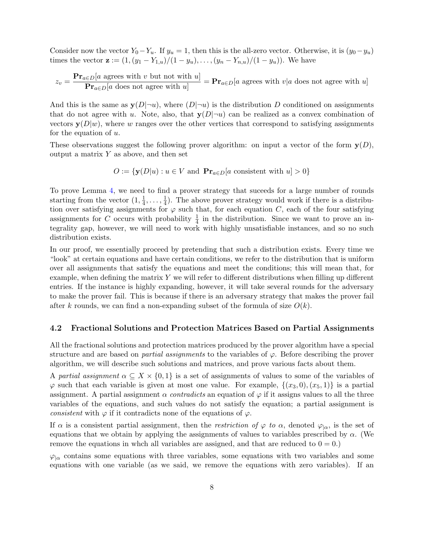Consider now the vector  $Y_0-Y_u$ . If  $y_u = 1$ , then this is the all-zero vector. Otherwise, it is  $(y_0-y_u)$ times the vector  $\mathbf{z} := (1,(y_1 - Y_{1,u})/(1 - y_u), \ldots, (y_n - Y_{n,u})/(1 - y_u)).$  We have

$$
z_v = \frac{\mathbf{Pr}_{a \in D}[a \text{ agrees with } v \text{ but not with } u]}{\mathbf{Pr}_{a \in D}[a \text{ does not agree with } u]} = \mathbf{Pr}_{a \in D}[a \text{ agrees with } v | a \text{ does not agree with } u]
$$

And this is the same as  $y(D|\neg u)$ , where  $(D|\neg u)$  is the distribution D conditioned on assignments that do not agree with u. Note, also, that  $y(D|\neg u)$  can be realized as a convex combination of vectors  $y(D|w)$ , where w ranges over the other vertices that correspond to satisfying assignments for the equation of  $u$ .

These observations suggest the following prover algorithm: on input a vector of the form  $y(D)$ , output a matrix  $Y$  as above, and then set

$$
O := \{ \mathbf{y}(D|u) : u \in V \text{ and } \mathbf{Pr}_{a \in D}[a \text{ consistent with } u] > 0 \}
$$

To prove Lemma 4, we need to find a prover strategy that suceeds for a large number of rounds starting from the vector  $(1, \frac{1}{4})$  $\frac{1}{4}, \ldots, \frac{1}{4}$  $\frac{1}{4}$ ). The above prover strategy would work if there is a distribution over satisfying assignments for  $\varphi$  such that, for each equation C, each of the four satisfying assignments for C occurs with probability  $\frac{1}{4}$  in the distribution. Since we want to prove an integrality gap, however, we will need to work with highly unsatisfiable instances, and so no such distribution exists.

In our proof, we essentially proceed by pretending that such a distribution exists. Every time we "look" at certain equations and have certain conditions, we refer to the distribution that is uniform over all assignments that satisfy the equations and meet the conditions; this will mean that, for example, when defining the matrix  $Y$  we will refer to different distributions when filling up different entries. If the instance is highly expanding, however, it will take several rounds for the adversary to make the prover fail. This is because if there is an adversary strategy that makes the prover fail after k rounds, we can find a non-expanding subset of the formula of size  $O(k)$ .

#### 4.2 Fractional Solutions and Protection Matrices Based on Partial Assignments

All the fractional solutions and protection matrices produced by the prover algorithm have a special structure and are based on *partial assignments* to the variables of  $\varphi$ . Before describing the prover algorithm, we will describe such solutions and matrices, and prove various facts about them.

A partial assignment  $\alpha \subseteq X \times \{0,1\}$  is a set of assignments of values to some of the variables of  $\varphi$  such that each variable is given at most one value. For example,  $\{(x_3, 0), (x_5, 1)\}\;$  is a partial assignment. A partial assignment  $\alpha$  contradicts an equation of  $\varphi$  if it assigns values to all the three variables of the equations, and such values do not satisfy the equation; a partial assignment is consistent with  $\varphi$  if it contradicts none of the equations of  $\varphi$ .

If  $\alpha$  is a consistent partial assignment, then the *restriction of*  $\varphi$  to  $\alpha$ , denoted  $\varphi_{|\alpha}$ , is the set of equations that we obtain by applying the assignments of values to variables prescribed by  $\alpha$ . (We remove the equations in whch all variables are assigned, and that are reduced to  $0 = 0$ .)

 $\varphi_{\mid \alpha}$  contains some equations with three variables, some equations with two variables and some equations with one variable (as we said, we remove the equations with zero variables). If an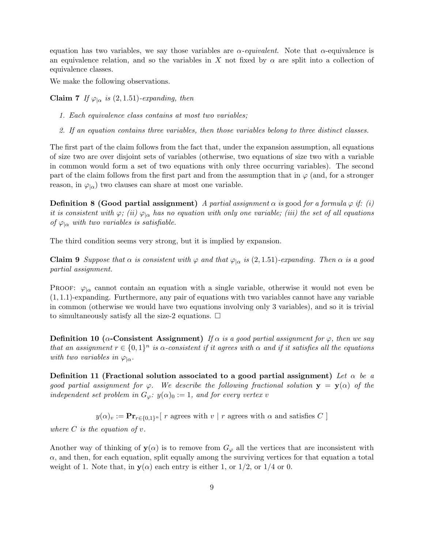equation has two variables, we say those variables are  $\alpha$ -equivalent. Note that  $\alpha$ -equivalence is an equivalence relation, and so the variables in X not fixed by  $\alpha$  are split into a collection of equivalence classes.

We make the following observations.

Claim 7 If  $\varphi_{\vert \alpha}$  is (2, 1.51)-expanding, then

- 1. Each equivalence class contains at most two variables;
- 2. If an equation contains three variables, then those variables belong to three distinct classes.

The first part of the claim follows from the fact that, under the expansion assumption, all equations of size two are over disjoint sets of variables (otherwise, two equations of size two with a variable in common would form a set of two equations with only three occurring variables). The second part of the claim follows from the first part and from the assumption that in  $\varphi$  (and, for a stronger reason, in  $\varphi_{\alpha}$  two clauses can share at most one variable.

**Definition 8 (Good partial assignment)** A partial assignment  $\alpha$  is good for a formula  $\varphi$  if: (i) it is consistent with  $\varphi$ ; (ii)  $\varphi_{\alpha}$  has no equation with only one variable; (iii) the set of all equations of  $\varphi_{\vert\alpha}$  with two variables is satisfiable.

The third condition seems very strong, but it is implied by expansion.

**Claim 9** Suppose that  $\alpha$  is consistent with  $\varphi$  and that  $\varphi_{|\alpha}$  is (2, 1.51)-expanding. Then  $\alpha$  is a good partial assignment.

PROOF:  $\varphi_{\alpha}$  cannot contain an equation with a single variable, otherwise it would not even be  $(1, 1.1)$ -expanding. Furthermore, any pair of equations with two variables cannot have any variable in common (otherwise we would have two equations involving only 3 variables), and so it is trivial to simultaneously satisfy all the size-2 equations.  $\Box$ 

Definition 10 ( $\alpha$ -Consistent Assignment) If  $\alpha$  is a good partial assignment for  $\varphi$ , then we say that an assignment  $r \in \{0,1\}^n$  is  $\alpha$ -consistent if it agrees with  $\alpha$  and if it satisfies all the equations with two variables in  $\varphi_{\alpha}$ .

Definition 11 (Fractional solution associated to a good partial assignment) Let  $\alpha$  be a good partial assignment for  $\varphi$ . We describe the following fractional solution  $y = y(\alpha)$  of the independent set problem in  $G_{\varphi}$ :  $y(\alpha)$ <sub>0</sub> := 1, and for every vertex v

 $y(\alpha)_v := \mathbf{Pr}_{r \in \{0,1\}^n} [$ r agrees with  $v \mid r$  agrees with  $\alpha$  and satisfies  $C$  ]

where  $C$  is the equation of  $v$ .

Another way of thinking of  $y(\alpha)$  is to remove from  $G_{\varphi}$  all the vertices that are inconsistent with  $\alpha$ , and then, for each equation, split equally among the surviving vertices for that equation a total weight of 1. Note that, in  $y(\alpha)$  each entry is either 1, or 1/2, or 1/4 or 0.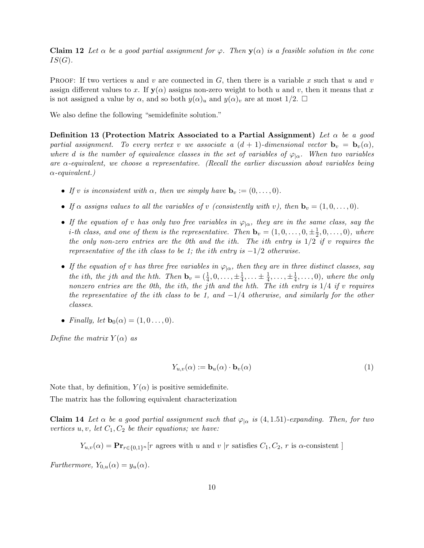**Claim 12** Let  $\alpha$  be a good partial assignment for  $\varphi$ . Then  $y(\alpha)$  is a feasible solution in the cone  $IS(G).$ 

**PROOF:** If two vertices u and v are connected in G, then there is a variable x such that u and v assign different values to x. If  $y(\alpha)$  assigns non-zero weight to both u and v, then it means that x is not assigned a value by  $\alpha$ , and so both  $y(\alpha)_u$  and  $y(\alpha)_v$  are at most  $1/2$ .  $\square$ 

We also define the following "semidefinite solution."

Definition 13 (Protection Matrix Associated to a Partial Assignment) Let  $\alpha$  be a good partial assignment. To every vertex v we associate a  $(d + 1)$ -dimensional vector  $\mathbf{b}_v = \mathbf{b}_v(\alpha)$ , where d is the number of equivalence classes in the set of variables of  $\varphi_{\alpha}$ . When two variables are  $\alpha$ -equivalent, we choose a representative. (Recall the earlier discussion about variables being  $\alpha$ -equivalent.)

- If v is inconsistent with  $\alpha$ , then we simply have  $\mathbf{b}_v := (0, \ldots, 0)$ .
- If  $\alpha$  assigns values to all the variables of v (consistently with v), then  $\mathbf{b}_v = (1, 0, \ldots, 0)$ .
- If the equation of v has only two free variables in  $\varphi_{\alpha}$ , they are in the same class, say the *i*-th class, and one of them is the representative. Then  $\mathbf{b}_v = (1, 0, \ldots, 0, \pm \frac{1}{2})$  $(\frac{1}{2},0,\ldots,0),$  where the only non-zero entries are the 0th and the ith. The ith entry is  $1/2$  if v requires the representative of the ith class to be 1; the ith entry is  $-1/2$  otherwise.
- If the equation of v has three free variables in  $\varphi_{\alpha}$ , then they are in three distinct classes, say the ith, the jth and the hth. Then  $\mathbf{b}_v = (\frac{1}{4}, 0, \dots, \pm \frac{1}{4})$  $\frac{1}{4}, \ldots \pm \frac{1}{4}$  $\frac{1}{4}, \ldots, \pm \frac{1}{4}$  $(\frac{1}{4}, \ldots, 0)$ , where the only nonzero entries are the 0th, the ith, the jth and the hth. The ith entry is  $1/4$  if v requires the representative of the ith class to be 1, and  $-1/4$  otherwise, and similarly for the other classes.
- Finally, let  $\mathbf{b}_0(\alpha) = (1, 0 \dots, 0)$ .

Define the matrix  $Y(\alpha)$  as

$$
Y_{u,v}(\alpha) := \mathbf{b}_u(\alpha) \cdot \mathbf{b}_v(\alpha) \tag{1}
$$

Note that, by definition,  $Y(\alpha)$  is positive semidefinite.

The matrix has the following equivalent characterization

**Claim 14** Let  $\alpha$  be a good partial assignment such that  $\varphi_{|\alpha}$  is (4, 1.51)-expanding. Then, for two vertices  $u, v$ , let  $C_1, C_2$  be their equations; we have:

 $Y_{u,v}(\alpha) = \mathbf{Pr}_{r \in \{0,1\}^n}[r]$  agrees with u and v |r satisfies  $C_1, C_2, r$  is  $\alpha$ -consistent ]

Furthermore,  $Y_{0,u}(\alpha) = y_u(\alpha)$ .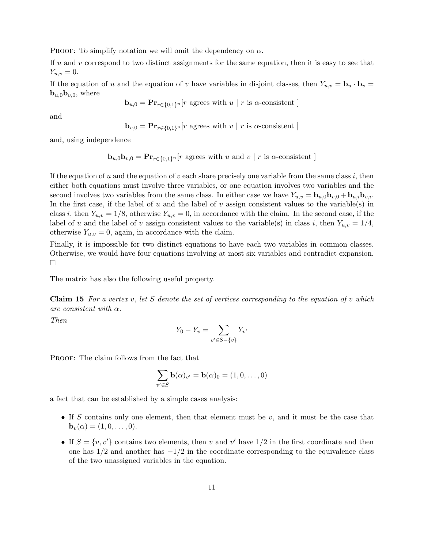PROOF: To simplify notation we will omit the dependency on  $\alpha$ .

If u and v correspond to two distinct assignments for the same equation, then it is easy to see that  $Y_{u,v} = 0.$ 

If the equation of u and the equation of v have variables in disjoint classes, then  $Y_{u,v} = \mathbf{b}_u \cdot \mathbf{b}_v =$ **, where** 

$$
\mathbf{b}_{u,0} = \mathbf{Pr}_{r \in \{0,1\}^n}[r \text{ agrees with } u \mid r \text{ is } \alpha\text{-consistent}]
$$

and

$$
\mathbf{b}_{v,0} = \mathbf{Pr}_{r \in \{0,1\}^n}[r \text{ agrees with } v \mid r \text{ is } \alpha\text{-consistent}]
$$

and, using independence

$$
\mathbf{b}_{u,0}\mathbf{b}_{v,0} = \mathbf{Pr}_{r \in \{0,1\}^n}[r \text{ agrees with } u \text{ and } v \mid r \text{ is } \alpha\text{-consistent}]
$$

If the equation of u and the equation of v each share precisely one variable from the same class i, then either both equations must involve three variables, or one equation involves two variables and the second involves two variables from the same class. In either case we have  $Y_{u,v} = \mathbf{b}_{u,0}\mathbf{b}_{v,0} + \mathbf{b}_{u,i}\mathbf{b}_{v,i}$ . In the first case, if the label of u and the label of v assign consistent values to the variable(s) in class i, then  $Y_{u,v} = 1/8$ , otherwise  $Y_{u,v} = 0$ , in accordance with the claim. In the second case, if the label of u and the label of v assign consistent values to the variable(s) in class i, then  $Y_{u,v} = 1/4$ , otherwise  $Y_{u,v} = 0$ , again, in accordance with the claim.

Finally, it is impossible for two distinct equations to have each two variables in common classes. Otherwise, we would have four equations involving at most six variables and contradict expansion.  $\Box$ 

The matrix has also the following useful property.

**Claim 15** For a vertex v, let S denote the set of vertices corresponding to the equation of v which are consistent with  $\alpha$ .

Then

$$
Y_0 - Y_v = \sum_{v' \in S - \{v\}} Y_{v'}
$$

PROOF: The claim follows from the fact that

$$
\sum_{v' \in S} \mathbf{b}(\alpha)_{v'} = \mathbf{b}(\alpha)_0 = (1, 0, \dots, 0)
$$

a fact that can be established by a simple cases analysis:

- If S contains only one element, then that element must be  $v$ , and it must be the case that  $\mathbf{b}_v(\alpha) = (1, 0, \dots, 0).$
- If  $S = \{v, v'\}$  contains two elements, then v and v' have  $1/2$  in the first coordinate and then one has  $1/2$  and another has  $-1/2$  in the coordinate corresponding to the equivalence class of the two unassigned variables in the equation.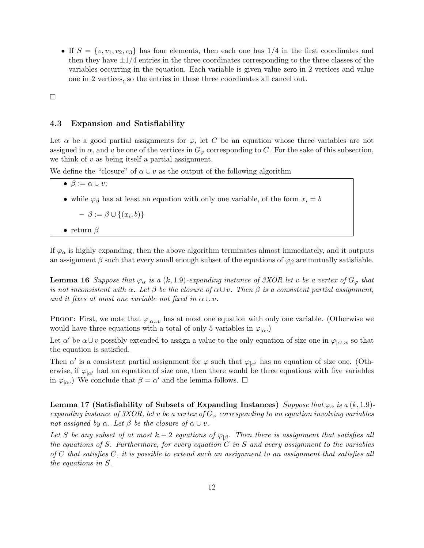• If  $S = \{v, v_1, v_2, v_3\}$  has four elements, then each one has  $1/4$  in the first coordinates and then they have  $\pm 1/4$  entries in the three coordinates corresponding to the three classes of the variables occurring in the equation. Each variable is given value zero in 2 vertices and value one in 2 vertices, so the entries in these three coordinates all cancel out.

 $\Box$ 

#### 4.3 Expansion and Satisfiability

Let  $\alpha$  be a good partial assignments for  $\varphi$ , let C be an equation whose three variables are not assigned in  $\alpha$ , and v be one of the vertices in  $G_{\varphi}$  corresponding to C. For the sake of this subsection, we think of  $v$  as being itself a partial assignment.

We define the "closure" of  $\alpha \cup v$  as the output of the following algorithm

•  $\beta := \alpha \cup v;$ 

• while  $\varphi_\beta$  has at least an equation with only one variable, of the form  $x_i = b$ 

 $- \beta := \beta \cup \{(x_i, b)\}\$ 

• return  $\beta$ 

If  $\varphi_{\alpha}$  is highly expanding, then the above algorithm terminates almost immediately, and it outputs an assignment  $\beta$  such that every small enough subset of the equations of  $\varphi_{\beta}$  are mutually satisfiable.

**Lemma 16** Suppose that  $\varphi_{\alpha}$  is a  $(k, 1.9)$ -expanding instance of 3XOR let v be a vertex of  $G_{\varphi}$  that is not inconsistent with  $\alpha$ . Let  $\beta$  be the closure of  $\alpha\cup v$ . Then  $\beta$  is a consistent partial assignment, and it fixes at most one variable not fixed in  $\alpha \cup v$ .

PROOF: First, we note that  $\varphi_{|\alpha \cup v}$  has at most one equation with only one variable. (Otherwise we would have three equations with a total of only 5 variables in  $\varphi_{\alpha}$ .

Let  $\alpha'$  be  $\alpha \cup v$  possibly extended to assign a value to the only equation of size one in  $\varphi_{|\alpha \cup v}$  so that the equation is satisfied.

Then  $\alpha'$  is a consistent partial assignment for  $\varphi$  such that  $\varphi_{\vert \alpha'}$  has no equation of size one. (Otherwise, if  $\varphi_{\alpha'}$  had an equation of size one, then there would be three equations with five variables in  $\varphi_{\mid \alpha}$ .) We conclude that  $\beta = \alpha'$  and the lemma follows.  $\Box$ 

Lemma 17 (Satisfiability of Subsets of Expanding Instances) Suppose that  $\varphi_{\alpha}$  is a  $(k, 1.9)$ expanding instance of 3XOR, let v be a vertex of  $G_{\varphi}$  corresponding to an equation involving variables not assigned by  $\alpha$ . Let  $\beta$  be the closure of  $\alpha \cup v$ .

Let S be any subset of at most  $k-2$  equations of  $\varphi_{\vert \beta}$ . Then there is assignment that satisfies all the equations of S. Furthermore, for every equation  $C$  in S and every assignment to the variables of C that satisfies  $C$ , it is possible to extend such an assignment to an assignment that satisfies all the equations in S.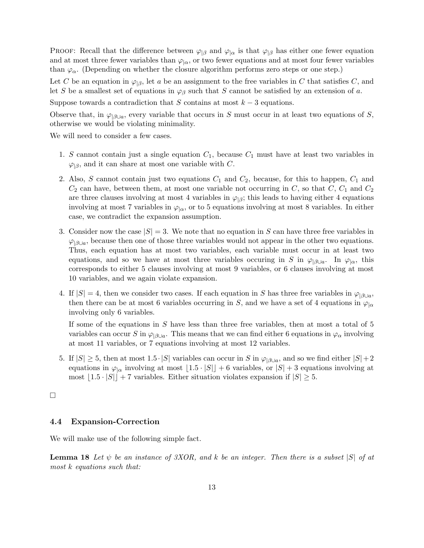PROOF: Recall that the difference between  $\varphi_{\beta}$  and  $\varphi_{\alpha}$  is that  $\varphi_{\beta}$  has either one fewer equation and at most three fewer variables than  $\varphi_{\alpha}$ , or two fewer equations and at most four fewer variables than  $\varphi_{\alpha}$ . (Depending on whether the closure algorithm performs zero steps or one step.)

Let C be an equation in  $\varphi_{\beta}$ , let a be an assignment to the free variables in C that satisfies C, and let S be a smallest set of equations in  $\varphi_\beta$  such that S cannot be satisfied by an extension of a.

Suppose towards a contradiction that S contains at most  $k-3$  equations.

Observe that, in  $\varphi_{\beta\downarrow a}$ , every variable that occurs in S must occur in at least two equations of S, otherwise we would be violating minimality.

We will need to consider a few cases.

- 1. S cannot contain just a single equation  $C_1$ , because  $C_1$  must have at least two variables in  $\varphi_{\beta}$ , and it can share at most one variable with C.
- 2. Also, S cannot contain just two equations  $C_1$  and  $C_2$ , because, for this to happen,  $C_1$  and  $C_2$  can have, between them, at most one variable not occurring in C, so that C,  $C_1$  and  $C_2$ are three clauses involving at most 4 variables in  $\varphi_{\beta}$ ; this leads to having either 4 equations involving at most 7 variables in  $\varphi_{\alpha}$ , or to 5 equations involving at most 8 variables. In either case, we contradict the expansion assumption.
- 3. Consider now the case  $|S| = 3$ . We note that no equation in S can have three free variables in  $\varphi_{\beta\cup a}$ , because then one of those three variables would not appear in the other two equations. Thus, each equation has at most two variables, each variable must occur in at least two equations, and so we have at most three variables occuring in S in  $\varphi_{\vert \partial U}$ . In  $\varphi_{\vert \alpha}$ , this corresponds to either 5 clauses involving at most 9 variables, or 6 clauses involving at most 10 variables, and we again violate expansion.
- 4. If  $|S| = 4$ , then we consider two cases. If each equation in S has three free variables in  $\varphi_{|\beta \cup a}$ , then there can be at most 6 variables occurring in S, and we have a set of 4 equations in  $\varphi_{\alpha}$ involving only 6 variables.

If some of the equations in S have less than three free variables, then at most a total of 5 variables can occur S in  $\varphi_{|\beta \cup a}$ . This means that we can find either 6 equations in  $\varphi_{\alpha}$  involving at most 11 variables, or 7 equations involving at most 12 variables.

5. If  $|S| \geq 5$ , then at most 1.5 ·  $|S|$  variables can occur in S in  $\varphi_{|\beta \cup a}$ , and so we find either  $|S| + 2$ equations in  $\varphi_{\alpha}$  involving at most  $\lfloor 1.5 \cdot |S| \rfloor + 6$  variables, or  $|S| + 3$  equations involving at most  $|1.5 \cdot |S| + 7$  variables. Either situation violates expansion if  $|S| \geq 5$ .

 $\Box$ 

### 4.4 Expansion-Correction

We will make use of the following simple fact.

**Lemma 18** Let  $\psi$  be an instance of 3XOR, and k be an integer. Then there is a subset  $|S|$  of at most k equations such that: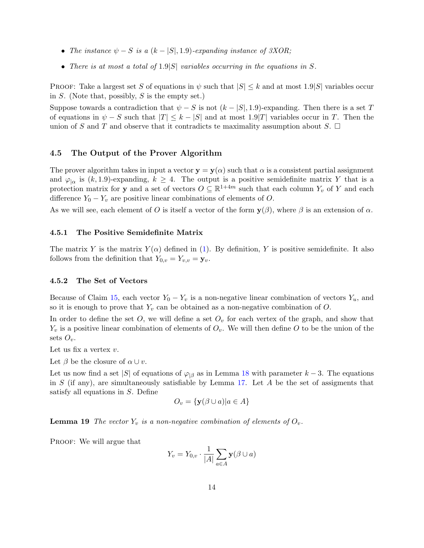- The instance  $\psi S$  is a  $(k |S|, 1.9)$ -expanding instance of 3XOR;
- There is at most a total of  $1.9|S|$  variables occurring in the equations in S.

PROOF: Take a largest set S of equations in  $\psi$  such that  $|S| \leq k$  and at most 1.9|S| variables occur in  $S$ . (Note that, possibly,  $S$  is the empty set.)

Suppose towards a contradiction that  $\psi - S$  is not  $(k - |S|, 1.9)$ -expanding. Then there is a set T of equations in  $\psi - S$  such that  $|T| \leq k - |S|$  and at most  $1.9|T|$  variables occur in T. Then the union of S and T and observe that it contradicts te maximality assumption about S.  $\Box$ 

#### 4.5 The Output of the Prover Algorithm

The prover algorithm takes in input a vector  $y = y(\alpha)$  such that  $\alpha$  is a consistent partial assignment and  $\varphi_{\alpha}$  is  $(k, 1.9)$ -expanding,  $k \geq 4$ . The output is a positive semidefinite matrix Y that is a protection matrix for **y** and a set of vectors  $O \subseteq \mathbb{R}^{1+4m}$  such that each column  $Y_v$  of Y and each difference  $Y_0 - Y_v$  are positive linear combinations of elements of O.

As we will see, each element of O is itself a vector of the form  $y(\beta)$ , where  $\beta$  is an extension of  $\alpha$ .

#### 4.5.1 The Positive Semidefinite Matrix

The matrix Y is the matrix  $Y(\alpha)$  defined in (1). By definition, Y is positive semidefinite. It also follows from the definition that  $Y_{0,v} = Y_{v,v} = \mathbf{y}_v$ .

#### 4.5.2 The Set of Vectors

Because of Claim 15, each vector  $Y_0 - Y_v$  is a non-negative linear combination of vectors  $Y_u$ , and so it is enough to prove that  $Y_v$  can be obtained as a non-negative combination of  $O$ .

In order to define the set  $O$ , we will define a set  $O<sub>v</sub>$  for each vertex of the graph, and show that  $Y_v$  is a positive linear combination of elements of  $O_v$ . We will then define O to be the union of the sets  $O_v$ .

Let us fix a vertex  $v$ .

Let  $\beta$  be the closure of  $\alpha \cup v$ .

Let us now find a set |S| of equations of  $\varphi_{\beta}$  as in Lemma 18 with parameter k – 3. The equations in S (if any), are simultaneously satisfiable by Lemma 17. Let  $A$  be the set of assigments that satisfy all equations in S. Define

$$
O_v = \{ \mathbf{y}(\beta \cup a) | a \in A \}
$$

**Lemma 19** The vector  $Y_v$  is a non-negative combination of elements of  $O_v$ .

PROOF: We will argue that

$$
Y_v = Y_{0,v} \cdot \frac{1}{|A|} \sum_{a \in A} \mathbf{y}(\beta \cup a)
$$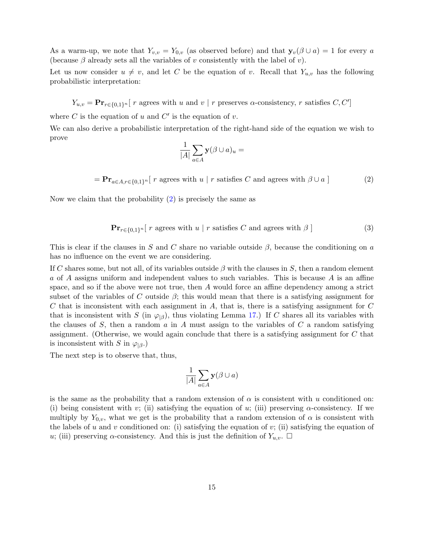As a warm-up, we note that  $Y_{v,v} = Y_{0,v}$  (as observed before) and that  $\mathbf{y}_v(\beta \cup a) = 1$  for every a (because  $\beta$  already sets all the variables of v consistently with the label of v).

Let us now consider  $u \neq v$ , and let C be the equation of v. Recall that  $Y_{u,v}$  has the following probabilistic interpretation:

 $Y_{u,v} = \mathbf{Pr}_{r \in \{0,1\}^n} [r \text{ agrees with } u \text{ and } v \mid r \text{ preserves } \alpha\text{-consistency}, r \text{ satisfies } C, C']$ 

where C is the equation of u and  $C'$  is the equation of v.

We can also derive a probabilistic interpretation of the right-hand side of the equation we wish to prove

$$
\frac{1}{|A|}\sum_{a\in A}\mathbf{y}(\beta\cup a)_u=
$$

 $= \mathbf{Pr}_{a \in A, r \in \{0,1\}^n} [r \text{ agrees with } u \mid r \text{ satisfies } C \text{ and agrees with } \beta \cup a]$  (2)

Now we claim that the probability  $(2)$  is precisely the same as

$$
\mathbf{Pr}_{r \in \{0,1\}^n} [r \text{ agrees with } u \mid r \text{ satisfies } C \text{ and agrees with } \beta ] \tag{3}
$$

This is clear if the clauses in S and C share no variable outside  $\beta$ , because the conditioning on a has no influence on the event we are considering.

If C shares some, but not all, of its variables outside  $\beta$  with the clauses in S, then a random element a of A assigns uniform and independent values to such variables. This is because A is an affine space, and so if the above were not true, then A would force an affine dependency among a strict subset of the variables of C outside  $\beta$ ; this would mean that there is a satisfying assignment for C that is inconsistent with each assignment in  $A$ , that is, there is a satisfying assignment for  $C$ that is inconsistent with S (in  $\varphi_{\beta}$ ), thus violating Lemma 17.) If C shares all its variables with the clauses of S, then a random a in A must assign to the variables of  $C$  a random satisfying assignment. (Otherwise, we would again conclude that there is a satisfying assignment for C that is inconsistent with S in  $\varphi_{\beta}$ .)

The next step is to observe that, thus,

$$
\frac{1}{|A|} \sum_{a \in A} \mathbf{y}(\beta \cup a)
$$

is the same as the probability that a random extension of  $\alpha$  is consistent with u conditioned on: (i) being consistent with v; (ii) satisfying the equation of u; (iii) preserving  $\alpha$ -consistency. If we multiply by  $Y_{0,v}$ , what we get is the probability that a random extension of  $\alpha$  is consistent with the labels of u and v conditioned on: (i) satisfying the equation of v; (ii) satisfying the equation of u; (iii) preserving  $\alpha$ -consistency. And this is just the definition of  $Y_{u,v}$ .  $\Box$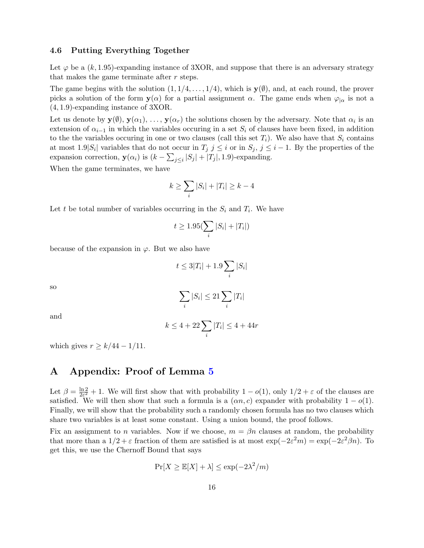#### 4.6 Putting Everything Together

Let  $\varphi$  be a  $(k, 1.95)$ -expanding instance of 3XOR, and suppose that there is an adversary strategy that makes the game terminate after r steps.

The game begins with the solution  $(1, 1/4, \ldots, 1/4)$ , which is  $\mathbf{y}(\emptyset)$ , and, at each round, the prover picks a solution of the form  $y(\alpha)$  for a partial assignment  $\alpha$ . The game ends when  $\varphi_{|\alpha}$  is not a (4, 1.9)-expanding instance of 3XOR.

Let us denote by  $y(\emptyset), y(\alpha_1), \ldots, y(\alpha_r)$  the solutions chosen by the adversary. Note that  $\alpha_i$  is an extension of  $\alpha_{i-1}$  in which the variables occuring in a set  $S_i$  of clauses have been fixed, in addition to the the variables occuring in one or two clauses (call this set  $T_i$ ). We also have that  $S_i$  contains at most  $1.9|S_i|$  variables that do not occur in  $T_j$   $j \leq i$  or in  $S_j$ ,  $j \leq i-1$ . By the properties of the expansion correction,  $y(\alpha_i)$  is  $(k - \sum_{j \leq i} |S_j| + |T_j|, 1.9)$ -expanding.

When the game terminates, we have

$$
k\geq \sum_i |S_i|+|T_i|\geq k-4
$$

Let t be total number of variables occurring in the  $S_i$  and  $T_i$ . We have

$$
t \ge 1.95(\sum_i |S_i| + |T_i|)
$$

because of the expansion in  $\varphi$ . But we also have

$$
t \leq 3|T_i| + 1.9 \sum_i |S_i|
$$

so

$$
\sum_i |S_i| \leq 21 \sum_i |T_i|
$$

and

$$
k\leq 4+22\sum_i |T_i|\leq 4+44r
$$

which gives  $r \geq k/44 - 1/11$ .

# A Appendix: Proof of Lemma 5

Let  $\beta = \frac{\ln 2}{2c^2}$  $\frac{\ln 2}{2\varepsilon^2}$  + 1. We will first show that with probability  $1 - o(1)$ , only  $1/2 + \varepsilon$  of the clauses are satisfied. We will then show that such a formula is a  $(\alpha n, c)$  expander with probability  $1 - o(1)$ . Finally, we will show that the probability such a randomly chosen formula has no two clauses which share two variables is at least some constant. Using a union bound, the proof follows.

Fix an assignment to n variables. Now if we choose,  $m = \beta n$  clauses at random, the probability that more than a  $1/2 + \varepsilon$  fraction of them are satisfied is at most  $\exp(-2\varepsilon^2 m) = \exp(-2\varepsilon^2 \beta n)$ . To get this, we use the Chernoff Bound that says

$$
\Pr[X \ge \mathbb{E}[X] + \lambda] \le \exp(-2\lambda^2/m)
$$